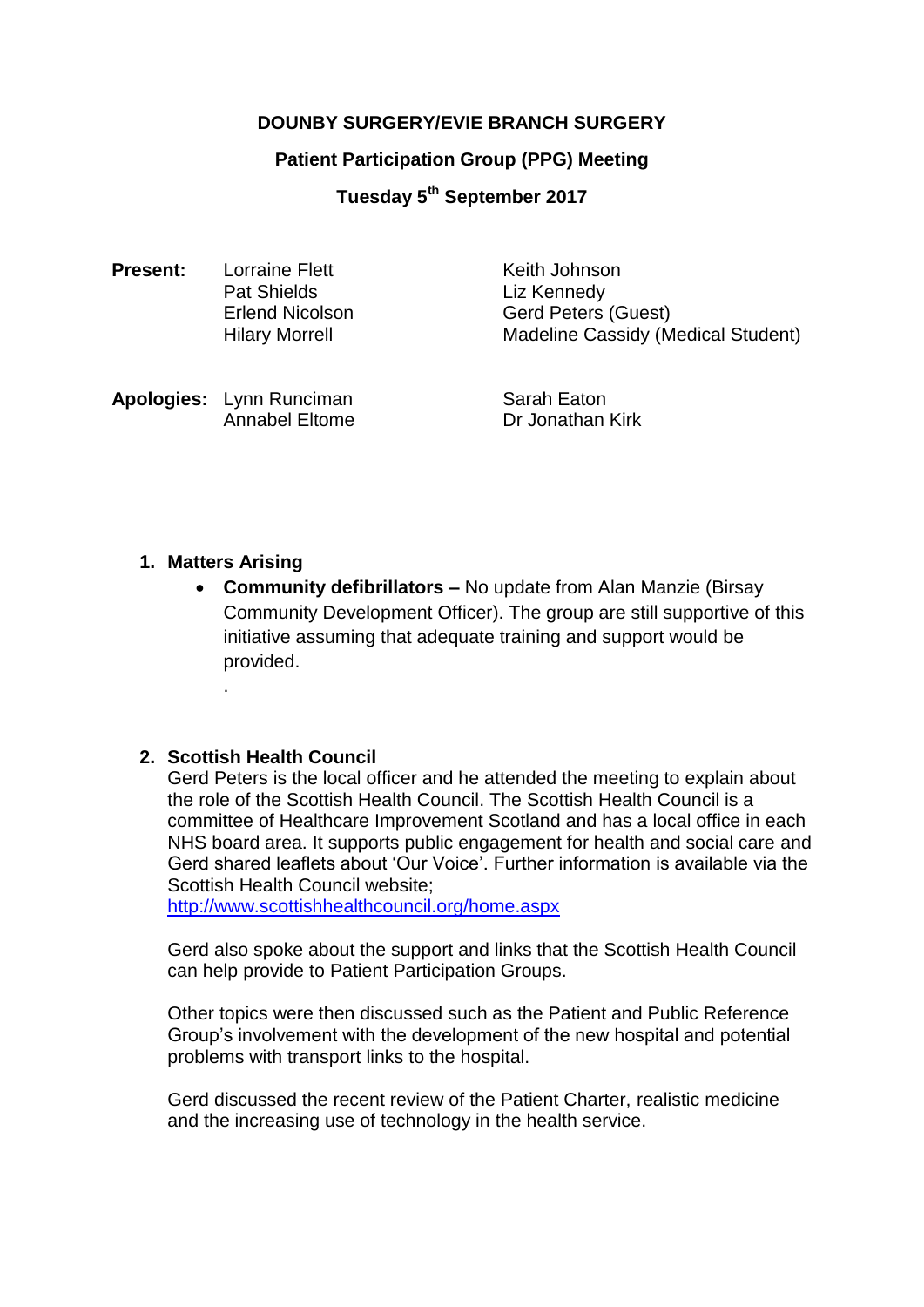# **DOUNBY SURGERY/EVIE BRANCH SURGERY**

### **Patient Participation Group (PPG) Meeting**

**Tuesday 5 th September 2017**

| <b>Present:</b> | Lorraine Flett<br><b>Pat Shields</b><br><b>Erlend Nicolson</b><br><b>Hilary Morrell</b> | Keith Johnson<br>Liz Kennedy<br><b>Gerd Peters (Guest)</b><br><b>Madeline Cassidy (Medical Student)</b> |
|-----------------|-----------------------------------------------------------------------------------------|---------------------------------------------------------------------------------------------------------|
|                 | Apologies: Lynn Runciman                                                                | Sarah Eaton                                                                                             |

Annabel Eltome Dr Jonathan Kirk

**1. Matters Arising**

.

 **Community defibrillators –** No update from Alan Manzie (Birsay Community Development Officer). The group are still supportive of this initiative assuming that adequate training and support would be provided.

### **2. Scottish Health Council**

Gerd Peters is the local officer and he attended the meeting to explain about the role of the Scottish Health Council. The Scottish Health Council is a committee of Healthcare Improvement Scotland and has a local office in each NHS board area. It supports public engagement for health and social care and Gerd shared leaflets about 'Our Voice'. Further information is available via the Scottish Health Council website;

<http://www.scottishhealthcouncil.org/home.aspx>

Gerd also spoke about the support and links that the Scottish Health Council can help provide to Patient Participation Groups.

Other topics were then discussed such as the Patient and Public Reference Group's involvement with the development of the new hospital and potential problems with transport links to the hospital.

Gerd discussed the recent review of the Patient Charter, realistic medicine and the increasing use of technology in the health service.